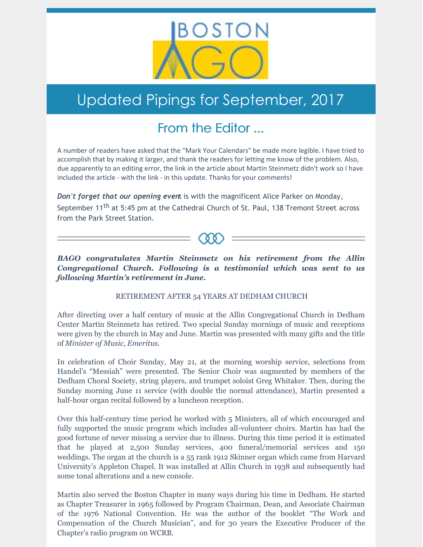

## Updated Pipings for September, 2017

## From the Editor ...

A number of readers have asked that the "Mark Your Calendars" be made more legible. I have tried to accomplish that by making it larger, and thank the readers for letting me know of the problem. Also, due apparently to an editing error, the link in the article about Martin Steinmetz didn't work so I have included the article - with the link - in this update. Thanks for your comments!

*Don't forget that our opening even*t is with the magnificent Alice Parker on Monday, September 11<sup>th</sup> at 5:45 pm at the Cathedral Church of St. Paul, 138 Tremont Street across from the Park Street Station.

*BAGO congratulates Martin Steinmetz on his retirement from the Allin Congregational Church. Following is a testimonial which was sent to us following Martin's retirement in June.*

RETIREMENT AFTER 54 YEARS AT DEDHAM CHURCH

After directing over a half century of music at the Allin Congregational Church in Dedham Center Martin Steinmetz has retired. Two special Sunday mornings of music and receptions were given by the church in May and June. Martin was presented with many gifts and the title of *Minister of Music, Emeritus.*

In celebration of Choir Sunday, May 21, at the morning worship service, selections from Handel's "Messiah" were presented. The Senior Choir was augmented by members of the Dedham Choral Society, string players, and trumpet soloist Greg Whitaker. Then, during the Sunday morning June 11 service (with double the normal attendance), Martin presented a half-hour organ recital followed by a luncheon reception.

Over this half-century time period he worked with 5 Ministers, all of which encouraged and fully supported the music program which includes all-volunteer choirs. Martin has had the good fortune of never missing a service due to illness. During this time period it is estimated that he played at 2,500 Sunday services, 400 funeral/memorial services and 150 weddings. The organ at the church is a 55 rank 1912 Skinner organ which came from Harvard University's Appleton Chapel. It was installed at Allin Church in 1938 and subsequently had some tonal alterations and a new console.

Martin also served the Boston Chapter in many ways during his time in Dedham. He started as Chapter Treasurer in 1965 followed by Program Chairman, Dean, and Associate Chairman of the 1976 National Convention. He was the author of the booklet "The Work and Compensation of the Church Musician", and for 30 years the Executive Producer of the Chapter's radio program on WCRB.